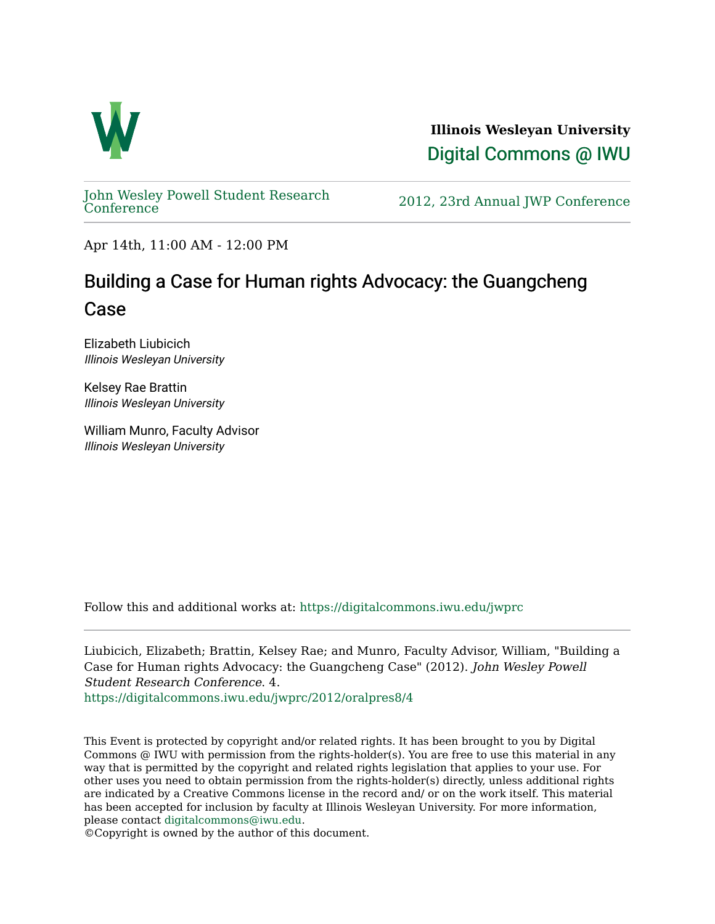

**Illinois Wesleyan University**  [Digital Commons @ IWU](https://digitalcommons.iwu.edu/) 

[John Wesley Powell Student Research](https://digitalcommons.iwu.edu/jwprc) 

2012, 23rd Annual JWP [Conference](https://digitalcommons.iwu.edu/jwprc)

Apr 14th, 11:00 AM - 12:00 PM

## Building a Case for Human rights Advocacy: the Guangcheng Case

Elizabeth Liubicich Illinois Wesleyan University

Kelsey Rae Brattin Illinois Wesleyan University

William Munro, Faculty Advisor Illinois Wesleyan University

Follow this and additional works at: [https://digitalcommons.iwu.edu/jwprc](https://digitalcommons.iwu.edu/jwprc?utm_source=digitalcommons.iwu.edu%2Fjwprc%2F2012%2Foralpres8%2F4&utm_medium=PDF&utm_campaign=PDFCoverPages) 

Liubicich, Elizabeth; Brattin, Kelsey Rae; and Munro, Faculty Advisor, William, "Building a Case for Human rights Advocacy: the Guangcheng Case" (2012). John Wesley Powell Student Research Conference. 4. [https://digitalcommons.iwu.edu/jwprc/2012/oralpres8/4](https://digitalcommons.iwu.edu/jwprc/2012/oralpres8/4?utm_source=digitalcommons.iwu.edu%2Fjwprc%2F2012%2Foralpres8%2F4&utm_medium=PDF&utm_campaign=PDFCoverPages)

This Event is protected by copyright and/or related rights. It has been brought to you by Digital Commons @ IWU with permission from the rights-holder(s). You are free to use this material in any way that is permitted by the copyright and related rights legislation that applies to your use. For other uses you need to obtain permission from the rights-holder(s) directly, unless additional rights are indicated by a Creative Commons license in the record and/ or on the work itself. This material has been accepted for inclusion by faculty at Illinois Wesleyan University. For more information, please contact [digitalcommons@iwu.edu.](mailto:digitalcommons@iwu.edu)

©Copyright is owned by the author of this document.